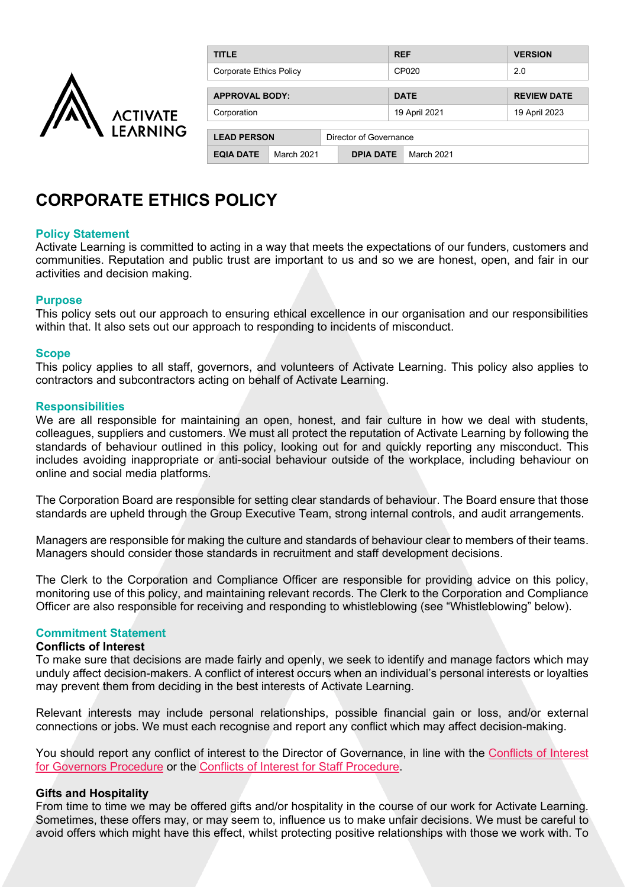

| <b>TITLE</b>            |            |                        | <b>REF</b>    | <b>VERSION</b>     |  |
|-------------------------|------------|------------------------|---------------|--------------------|--|
| Corporate Ethics Policy |            |                        | CP020         | 2.0                |  |
| <b>APPROVAL BODY:</b>   |            |                        | <b>DATE</b>   | <b>REVIEW DATE</b> |  |
| Corporation             |            |                        | 19 April 2021 | 19 April 2023      |  |
| <b>LEAD PERSON</b>      |            | Director of Governance |               |                    |  |
| <b>EQIA DATE</b>        | March 2021 | <b>DPIA DATE</b>       | March 2021    |                    |  |

# **CORPORATE ETHICS POLICY**

## **Policy Statement**

Activate Learning is committed to acting in a way that meets the expectations of our funders, customers and communities. Reputation and public trust are important to us and so we are honest, open, and fair in our activities and decision making.

## **Purpose**

This policy sets out our approach to ensuring ethical excellence in our organisation and our responsibilities within that. It also sets out our approach to responding to incidents of misconduct.

## **Scope**

This policy applies to all staff, governors, and volunteers of Activate Learning. This policy also applies to contractors and subcontractors acting on behalf of Activate Learning.

## **Responsibilities**

We are all responsible for maintaining an open, honest, and fair culture in how we deal with students, colleagues, suppliers and customers. We must all protect the reputation of Activate Learning by following the standards of behaviour outlined in this policy, looking out for and quickly reporting any misconduct. This includes avoiding inappropriate or anti-social behaviour outside of the workplace, including behaviour on online and social media platforms.

The Corporation Board are responsible for setting clear standards of behaviour. The Board ensure that those standards are upheld through the Group Executive Team, strong internal controls, and audit arrangements.

Managers are responsible for making the culture and standards of behaviour clear to members of their teams. Managers should consider those standards in recruitment and staff development decisions.

The Clerk to the Corporation and Compliance Officer are responsible for providing advice on this policy, monitoring use of this policy, and maintaining relevant records. The Clerk to the Corporation and Compliance Officer are also responsible for receiving and responding to whistleblowing (see "Whistleblowing" below).

## **Commitment Statement**

# **Conflicts of Interest**

To make sure that decisions are made fairly and openly, we seek to identify and manage factors which may unduly affect decision-makers. A conflict of interest occurs when an individual's personal interests or loyalties may prevent them from deciding in the best interests of Activate Learning.

Relevant interests may include personal relationships, possible financial gain or loss, and/or external connections or jobs. We must each recognise and report any conflict which may affect decision-making.

You should report any conflict of interest to the Director of Governance, in line with the Conflicts of Interest [for Governors Procedure](https://activatelearning.sharepoint.com/sites/Policies/Shared%20Documents/Conflicts%20of%20Interest%20for%20Governors%20Procedure.pdf) or the [Conflicts of Interest for Staff Procedure.](https://activatelearning.sharepoint.com/sites/Policies/Shared%20Documents/Conflicts%20of%20Interest%20for%20Staff%20Procedure.pdf)

# **Gifts and Hospitality**

From time to time we may be offered gifts and/or hospitality in the course of our work for Activate Learning. Sometimes, these offers may, or may seem to, influence us to make unfair decisions. We must be careful to avoid offers which might have this effect, whilst protecting positive relationships with those we work with. To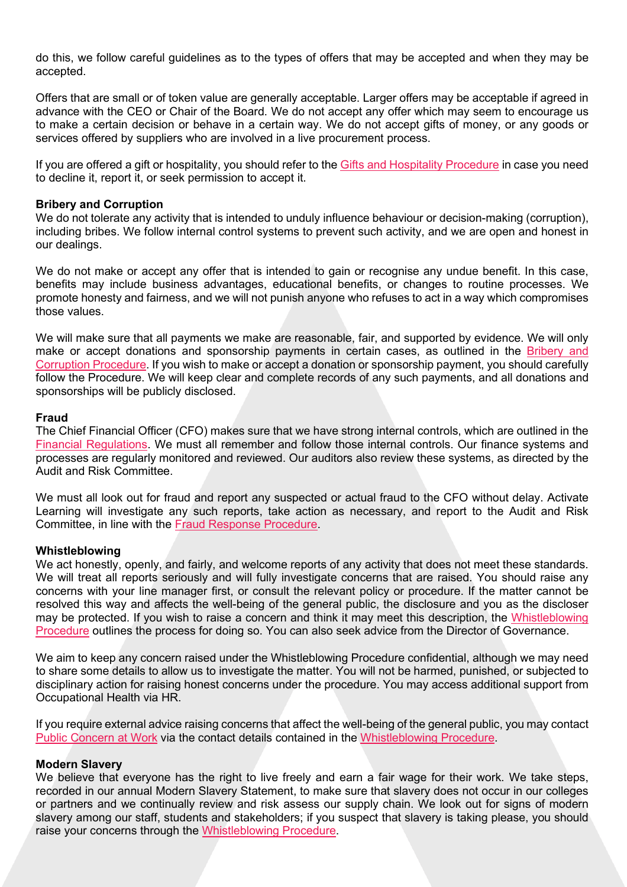do this, we follow careful guidelines as to the types of offers that may be accepted and when they may be accepted.

Offers that are small or of token value are generally acceptable. Larger offers may be acceptable if agreed in advance with the CEO or Chair of the Board. We do not accept any offer which may seem to encourage us to make a certain decision or behave in a certain way. We do not accept gifts of money, or any goods or services offered by suppliers who are involved in a live procurement process.

If you are offered a gift or hospitality, you should refer to the [Gifts and Hospitality Procedure](https://activatelearning.sharepoint.com/sites/Policies/Shared%20Documents/Gifts%20and%20Hospitality%20Procedure.pdf?) in case you need to decline it, report it, or seek permission to accept it.

## **Bribery and Corruption**

We do not tolerate any activity that is intended to unduly influence behaviour or decision-making (corruption), including bribes. We follow internal control systems to prevent such activity, and we are open and honest in our dealings.

We do not make or accept any offer that is intended to gain or recognise any undue benefit. In this case, benefits may include business advantages, educational benefits, or changes to routine processes. We promote honesty and fairness, and we will not punish anyone who refuses to act in a way which compromises those values.

We will make sure that all payments we make are reasonable, fair, and supported by evidence. We will only make or accept donations and sponsorship payments in certain cases, as outlined in the Bribery and [Corruption Procedure.](https://activatelearning.sharepoint.com/sites/Policies/Shared%20Documents/Bribery%20and%20Corruption%20Procedure.pdf) If you wish to make or accept a donation or sponsorship payment, you should carefully follow the Procedure. We will keep clear and complete records of any such payments, and all donations and sponsorships will be publicly disclosed.

## **Fraud**

The Chief Financial Officer (CFO) makes sure that we have strong internal controls, which are outlined in the [Financial Regulations.](https://activatelearning.sharepoint.com/sites/Policies/Shared%20Documents/Financial%20Regulations.pdf) We must all remember and follow those internal controls. Our finance systems and processes are regularly monitored and reviewed. Our auditors also review these systems, as directed by the Audit and Risk Committee.

We must all look out for fraud and report any suspected or actual fraud to the CFO without delay. Activate Learning will investigate any such reports, take action as necessary, and report to the Audit and Risk Committee, in line with the [Fraud Response Procedure.](https://activatelearning.sharepoint.com/sites/Policies/Shared%20Documents/Fraud%20Response%20Procedure.pdf)

## **Whistleblowing**

We act honestly, openly, and fairly, and welcome reports of any activity that does not meet these standards. We will treat all reports seriously and will fully investigate concerns that are raised. You should raise any concerns with your line manager first, or consult the relevant policy or procedure. If the matter cannot be resolved this way and affects the well-being of the general public, the disclosure and you as the discloser may be protected. If you wish to raise a concern and think it may meet this description, the [Whistleblowing](https://activatelearning.sharepoint.com/sites/Policies/Shared%20Documents/Whistleblowing%20Procedure.pdf)  [Procedure](https://activatelearning.sharepoint.com/sites/Policies/Shared%20Documents/Whistleblowing%20Procedure.pdf) outlines the process for doing so. You can also seek advice from the Director of Governance.

We aim to keep any concern raised under the Whistleblowing Procedure confidential, although we may need to share some details to allow us to investigate the matter. You will not be harmed, punished, or subjected to disciplinary action for raising honest concerns under the procedure. You may access additional support from Occupational Health via HR.

If you require external advice raising concerns that affect the well-being of the general public, you may contact [Public Concern at Work](http://www.pcaw.org.uk/) via the contact details contained in the [Whistleblowing Procedure.](https://activatelearning.sharepoint.com/sites/Policies/Shared%20Documents/Whistleblowing%20Procedure.pdf)

## **Modern Slavery**

We believe that everyone has the right to live freely and earn a fair wage for their work. We take steps, recorded in our annual Modern Slavery Statement, to make sure that slavery does not occur in our colleges or partners and we continually review and risk assess our supply chain. We look out for signs of modern slavery among our staff, students and stakeholders; if you suspect that slavery is taking please, you should raise your concerns through the [Whistleblowing Procedure.](https://activatelearning.sharepoint.com/sites/Policies/Shared%20Documents/Whistleblowing%20Procedure.pdf)